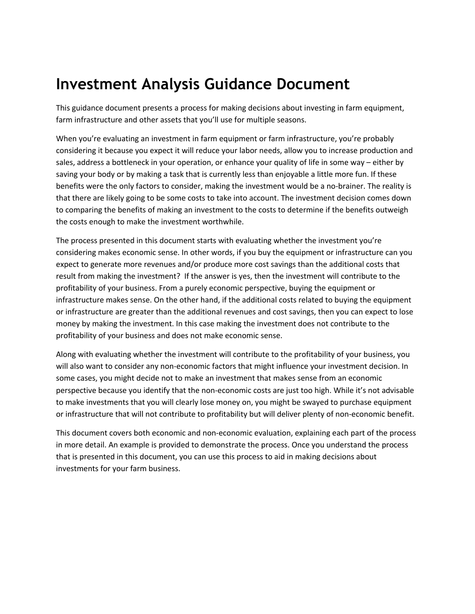# **Investment Analysis Guidance Document**

This guidance document presents a process for making decisions about investing in farm equipment, farm infrastructure and other assets that you'll use for multiple seasons.

When you're evaluating an investment in farm equipment or farm infrastructure, you're probably considering it because you expect it will reduce your labor needs, allow you to increase production and sales, address a bottleneck in your operation, or enhance your quality of life in some way – either by saving your body or by making a task that is currently less than enjoyable a little more fun. If these benefits were the only factors to consider, making the investment would be a no-brainer. The reality is that there are likely going to be some costs to take into account. The investment decision comes down to comparing the benefits of making an investment to the costs to determine if the benefits outweigh the costs enough to make the investment worthwhile.

The process presented in this document starts with evaluating whether the investment you're considering makes economic sense. In other words, if you buy the equipment or infrastructure can you expect to generate more revenues and/or produce more cost savings than the additional costs that result from making the investment? If the answer is yes, then the investment will contribute to the profitability of your business. From a purely economic perspective, buying the equipment or infrastructure makes sense. On the other hand, if the additional costs related to buying the equipment or infrastructure are greater than the additional revenues and cost savings, then you can expect to lose money by making the investment. In this case making the investment does not contribute to the profitability of your business and does not make economic sense.

Along with evaluating whether the investment will contribute to the profitability of your business, you will also want to consider any non-economic factors that might influence your investment decision. In some cases, you might decide not to make an investment that makes sense from an economic perspective because you identify that the non-economic costs are just too high. While it's not advisable to make investments that you will clearly lose money on, you might be swayed to purchase equipment or infrastructure that will not contribute to profitability but will deliver plenty of non-economic benefit.

This document covers both economic and non-economic evaluation, explaining each part of the process in more detail. An example is provided to demonstrate the process. Once you understand the process that is presented in this document, you can use this process to aid in making decisions about investments for your farm business.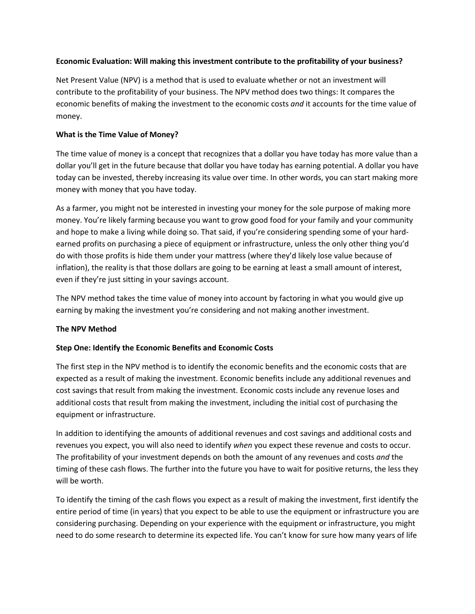#### **Economic Evaluation: Will making this investment contribute to the profitability of your business?**

Net Present Value (NPV) is a method that is used to evaluate whether or not an investment will contribute to the profitability of your business. The NPV method does two things: It compares the economic benefits of making the investment to the economic costs *and* it accounts for the time value of money.

#### **What is the Time Value of Money?**

The time value of money is a concept that recognizes that a dollar you have today has more value than a dollar you'll get in the future because that dollar you have today has earning potential. A dollar you have today can be invested, thereby increasing its value over time. In other words, you can start making more money with money that you have today.

As a farmer, you might not be interested in investing your money for the sole purpose of making more money. You're likely farming because you want to grow good food for your family and your community and hope to make a living while doing so. That said, if you're considering spending some of your hardearned profits on purchasing a piece of equipment or infrastructure, unless the only other thing you'd do with those profits is hide them under your mattress (where they'd likely lose value because of inflation), the reality is that those dollars are going to be earning at least a small amount of interest, even if they're just sitting in your savings account.

The NPV method takes the time value of money into account by factoring in what you would give up earning by making the investment you're considering and not making another investment.

#### **The NPV Method**

## **Step One: Identify the Economic Benefits and Economic Costs**

The first step in the NPV method is to identify the economic benefits and the economic costs that are expected as a result of making the investment. Economic benefits include any additional revenues and cost savings that result from making the investment. Economic costs include any revenue loses and additional costs that result from making the investment, including the initial cost of purchasing the equipment or infrastructure.

In addition to identifying the amounts of additional revenues and cost savings and additional costs and revenues you expect, you will also need to identify *when* you expect these revenue and costs to occur. The profitability of your investment depends on both the amount of any revenues and costs *and* the timing of these cash flows. The further into the future you have to wait for positive returns, the less they will be worth.

To identify the timing of the cash flows you expect as a result of making the investment, first identify the entire period of time (in years) that you expect to be able to use the equipment or infrastructure you are considering purchasing. Depending on your experience with the equipment or infrastructure, you might need to do some research to determine its expected life. You can't know for sure how many years of life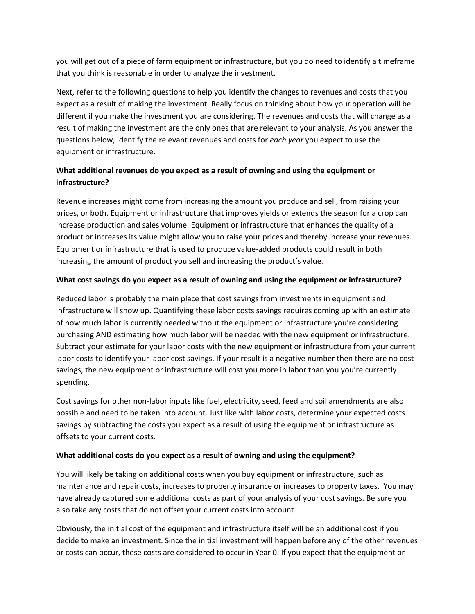you will get out of a piece of farm equipment or infrastructure, but you do need to identify a timeframe that you think is reasonable in order to analyze the investment.

Next, refer to the following questions to help you identify the changes to revenues and costs that you expect as a result of making the investment. Really focus on thinking about how your operation will be different if you make the investment you are considering. The revenues and costs that will change as a result of making the investment are the only ones that are relevant to your analysis. As you answer the questions below, identify the relevant revenues and costs for *each year* you expect to use the equipment or infrastructure.

## **What additional revenues do you expect as a result of owning and using the equipment or infrastructure?**

Revenue increases might come from increasing the amount you produce and sell, from raising your prices, or both. Equipment or infrastructure that improves yields or extends the season for a crop can increase production and sales volume. Equipment or infrastructure that enhances the quality of a product or increases its value might allow you to raise your prices and thereby increase your revenues. Equipment or infrastructure that is used to produce value-added products could result in both increasing the amount of product you sell and increasing the product's value.

## **What cost savings do you expect as a result of owning and using the equipment or infrastructure?**

Reduced labor is probably the main place that cost savings from investments in equipment and infrastructure will show up. Quantifying these labor costs savings requires coming up with an estimate of how much labor is currently needed without the equipment or infrastructure you're considering purchasing AND estimating how much labor will be needed with the new equipment or infrastructure. Subtract your estimate for your labor costs with the new equipment or infrastructure from your current labor costs to identify your labor cost savings. If your result is a negative number then there are no cost savings, the new equipment or infrastructure will cost you more in labor than you you're currently spending.

Cost savings for other non-labor inputs like fuel, electricity, seed, feed and soil amendments are also possible and need to be taken into account. Just like with labor costs, determine your expected costs savings by subtracting the costs you expect as a result of using the equipment or infrastructure as offsets to your current costs.

## **What additional costs do you expect as a result of owning and using the equipment?**

You will likely be taking on additional costs when you buy equipment or infrastructure, such as maintenance and repair costs, increases to property insurance or increases to property taxes. You may have already captured some additional costs as part of your analysis of your cost savings. Be sure you also take any costs that do not offset your current costs into account.

Obviously, the initial cost of the equipment and infrastructure itself will be an additional cost if you decide to make an investment. Since the initial investment will happen before any of the other revenues or costs can occur, these costs are considered to occur in Year 0. If you expect that the equipment or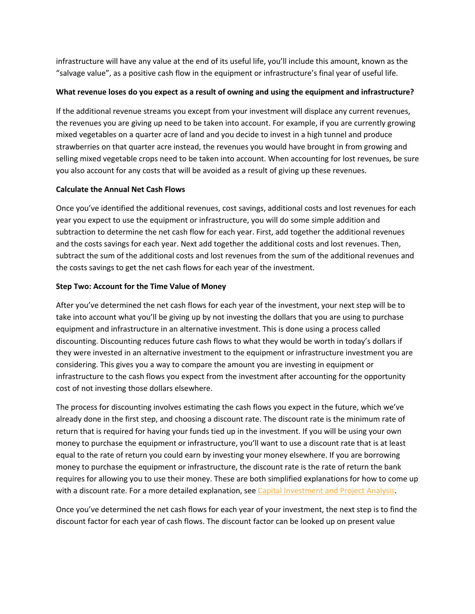infrastructure will have any value at the end of its useful life, you'll include this amount, known as the "salvage value", as a positive cash flow in the equipment or infrastructure's final year of useful life.

## **What revenue loses do you expect as a result of owning and using the equipment and infrastructure?**

If the additional revenue streams you except from your investment will displace any current revenues, the revenues you are giving up need to be taken into account. For example, if you are currently growing mixed vegetables on a quarter acre of land and you decide to invest in a high tunnel and produce strawberries on that quarter acre instead, the revenues you would have brought in from growing and selling mixed vegetable crops need to be taken into account. When accounting for lost revenues, be sure you also account for any costs that will be avoided as a result of giving up these revenues.

## **Calculate the Annual Net Cash Flows**

Once you've identified the additional revenues, cost savings, additional costs and lost revenues for each year you expect to use the equipment or infrastructure, you will do some simple addition and subtraction to determine the net cash flow for each year. First, add together the additional revenues and the costs savings for each year. Next add together the additional costs and lost revenues. Then, subtract the sum of the additional costs and lost revenues from the sum of the additional revenues and the costs savings to get the net cash flows for each year of the investment.

## **Step Two: Account for the Time Value of Money**

After you've determined the net cash flows for each year of the investment, your next step will be to take into account what you'll be giving up by not investing the dollars that you are using to purchase equipment and infrastructure in an alternative investment. This is done using a process called discounting. Discounting reduces future cash flows to what they would be worth in today's dollars if they were invested in an alternative investment to the equipment or infrastructure investment you are considering. This gives you a way to compare the amount you are investing in equipment or infrastructure to the cash flows you expect from the investment after accounting for the opportunity cost of not investing those dollars elsewhere.

The process for discounting involves estimating the cash flows you expect in the future, which we've already done in the first step, and choosing a discount rate. The discount rate is the minimum rate of return that is required for having your funds tied up in the investment. If you will be using your own money to purchase the equipment or infrastructure, you'll want to use a discount rate that is at least equal to the rate of return you could earn by investing your money elsewhere. If you are borrowing money to purchase the equipment or infrastructure, the discount rate is the rate of return the bank requires for allowing you to use their money. These are both simplified explanations for how to come up with a discount rate. For a more detailed explanation, see Capital Investment and Project Analysis.

Once you've determined the net cash flows for each year of your investment, the next step is to find the discount factor for each year of cash flows. The discount factor can be looked up on present value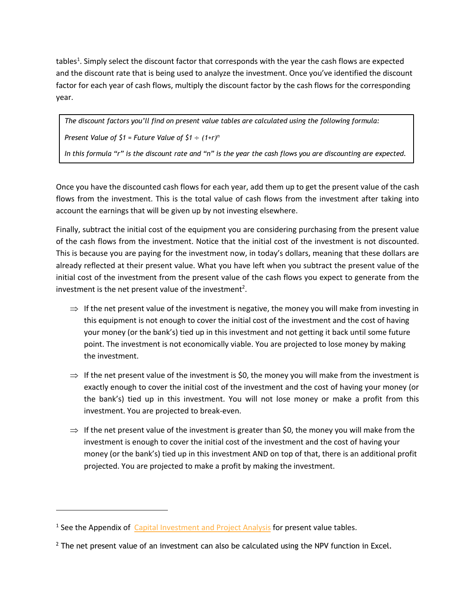tables<sup>1</sup>. Simply select the discount factor that corresponds with the year the cash flows are expected and the discount rate that is being used to analyze the investment. Once you've identified the discount factor for each year of cash flows, multiply the discount factor by the cash flows for the corresponding year.

```
The discount factors you'll find on present value tables are calculated using the following formula:
Present Value of $1 = Future Value of $1 ÷ (1+r)n
In this formula "r" is the discount rate and "n" is the year the cash flows you are discounting are expected.
```
Once you have the discounted cash flows for each year, add them up to get the present value of the cash flows from the investment. This is the total value of cash flows from the investment after taking into account the earnings that will be given up by not investing elsewhere.

Finally, subtract the initial cost of the equipment you are considering purchasing from the present value of the cash flows from the investment. Notice that the initial cost of the investment is not discounted. This is because you are paying for the investment now, in today's dollars, meaning that these dollars are already reflected at their present value. What you have left when you subtract the present value of the initial cost of the investment from the present value of the cash flows you expect to generate from the investment is the net present value of the investment<sup>2</sup>.

- $\Rightarrow$  If the net present value of the investment is negative, the money you will make from investing in this equipment is not enough to cover the initial cost of the investment and the cost of having your money (or the bank's) tied up in this investment and not getting it back until some future point. The investment is not economically viable. You are projected to lose money by making the investment.
- $\Rightarrow$  If the net present value of the investment is \$0, the money you will make from the investment is exactly enough to cover the initial cost of the investment and the cost of having your money (or the bank's) tied up in this investment. You will not lose money or make a profit from this investment. You are projected to break-even.
- $\Rightarrow$  If the net present value of the investment is greater than \$0, the money you will make from the investment is enough to cover the initial cost of the investment and the cost of having your money (or the bank's) tied up in this investment AND on top of that, there is an additional profit projected. You are projected to make a profit by making the investment.

<sup>&</sup>lt;sup>1</sup> See the Appendix of Capital Investment and Project Analysis for present value tables.

 $2$  The net present value of an investment can also be calculated using the NPV function in Excel.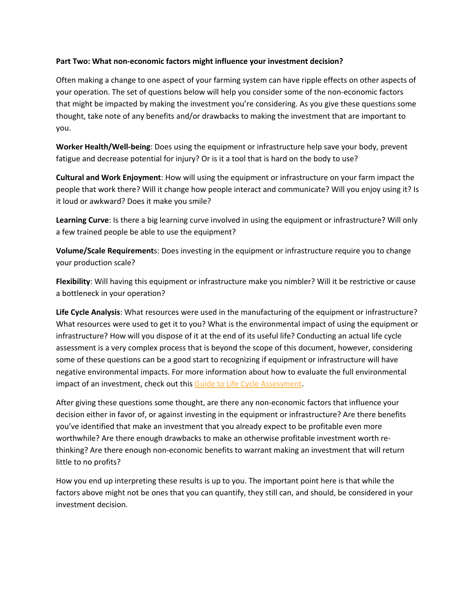#### **Part Two: What non-economic factors might influence your investment decision?**

Often making a change to one aspect of your farming system can have ripple effects on other aspects of your operation. The set of questions below will help you consider some of the non-economic factors that might be impacted by making the investment you're considering. As you give these questions some thought, take note of any benefits and/or drawbacks to making the investment that are important to you.

**Worker Health/Well-being**: Does using the equipment or infrastructure help save your body, prevent fatigue and decrease potential for injury? Or is it a tool that is hard on the body to use?

**Cultural and Work Enjoyment**: How will using the equipment or infrastructure on your farm impact the people that work there? Will it change how people interact and communicate? Will you enjoy using it? Is it loud or awkward? Does it make you smile?

**Learning Curve**: Is there a big learning curve involved in using the equipment or infrastructure? Will only a few trained people be able to use the equipment?

**Volume/Scale Requirement**s: Does investing in the equipment or infrastructure require you to change your production scale?

**Flexibility**: Will having this equipment or infrastructure make you nimbler? Will it be restrictive or cause a bottleneck in your operation?

**Life Cycle Analysis**: What resources were used in the manufacturing of the equipment or infrastructure? What resources were used to get it to you? What is the environmental impact of using the equipment or infrastructure? How will you dispose of it at the end of its useful life? Conducting an actual life cycle assessment is a very complex process that is beyond the scope of this document, however, considering some of these questions can be a good start to recognizing if equipment or infrastructure will have negative environmental impacts. For more information about how to evaluate the full environmental impact of an investment, check out this Guide to Life Cycle Assessment.

After giving these questions some thought, are there any non-economic factors that influence your decision either in favor of, or against investing in the equipment or infrastructure? Are there benefits you've identified that make an investment that you already expect to be profitable even more worthwhile? Are there enough drawbacks to make an otherwise profitable investment worth rethinking? Are there enough non-economic benefits to warrant making an investment that will return little to no profits?

How you end up interpreting these results is up to you. The important point here is that while the factors above might not be ones that you can quantify, they still can, and should, be considered in your investment decision.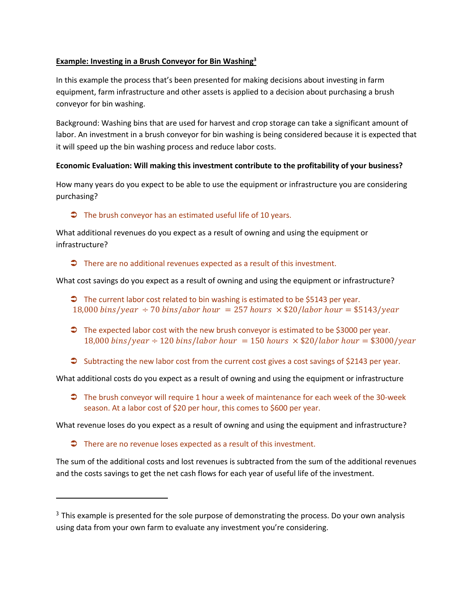#### **Example: Investing in a Brush Conveyor for Bin Washing3**

In this example the process that's been presented for making decisions about investing in farm equipment, farm infrastructure and other assets is applied to a decision about purchasing a brush conveyor for bin washing.

Background: Washing bins that are used for harvest and crop storage can take a significant amount of labor. An investment in a brush conveyor for bin washing is being considered because it is expected that it will speed up the bin washing process and reduce labor costs.

#### **Economic Evaluation: Will making this investment contribute to the profitability of your business?**

How many years do you expect to be able to use the equipment or infrastructure you are considering purchasing?

## $\supset$  The brush conveyor has an estimated useful life of 10 years.

What additional revenues do you expect as a result of owning and using the equipment or infrastructure?

 $\supset$  There are no additional revenues expected as a result of this investment.

What cost savings do you expect as a result of owning and using the equipment or infrastructure?

- $\supset$  The current labor cost related to bin washing is estimated to be \$5143 per year. 18,000 bins/year  $\div$  70 bins/abor hour = 257 hours  $\times$  \$20/labor hour = \$5143/year
- $\supset$  The expected labor cost with the new brush conveyor is estimated to be \$3000 per year. 18,000 bins/year  $\div$  120 bins/labor hour = 150 hours  $\times$  \$20/labor hour = \$3000/year
- Ü Subtracting the new labor cost from the current cost gives a cost savings of \$2143 per year.

What additional costs do you expect as a result of owning and using the equipment or infrastructure

 $\supset$  The brush conveyor will require 1 hour a week of maintenance for each week of the 30-week season. At a labor cost of \$20 per hour, this comes to \$600 per year.

What revenue loses do you expect as a result of owning and using the equipment and infrastructure?

 $\supset$  There are no revenue loses expected as a result of this investment.

The sum of the additional costs and lost revenues is subtracted from the sum of the additional revenues and the costs savings to get the net cash flows for each year of useful life of the investment.

<sup>&</sup>lt;sup>3</sup> This example is presented for the sole purpose of demonstrating the process. Do your own analysis using data from your own farm to evaluate any investment you're considering.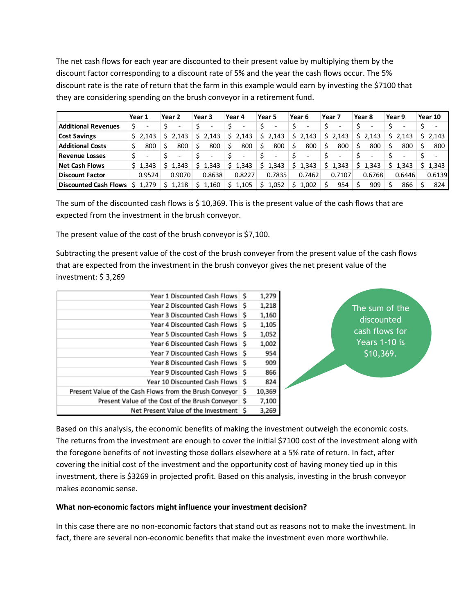The net cash flows for each year are discounted to their present value by multiplying them by the discount factor corresponding to a discount rate of 5% and the year the cash flows occur. The 5% discount rate is the rate of return that the farm in this example would earn by investing the \$7100 that they are considering spending on the brush conveyor in a retirement fund.

|                               | Year 1                   | Year 2  | Year 3                   | Year 4      | Year 5      | Year 6      | Year 7      | Year 8                   | Year 9                   | Year 10 |
|-------------------------------|--------------------------|---------|--------------------------|-------------|-------------|-------------|-------------|--------------------------|--------------------------|---------|
| <b>Additional Revenues</b>    | $\overline{\phantom{a}}$ |         | $\overline{\phantom{a}}$ |             |             |             |             | $\overline{\phantom{a}}$ | $\overline{\phantom{a}}$ |         |
| <b>Cost Savings</b>           | $S$ 2.143                | 2.143   | 2.143<br>S.              | \$2,143     | 2,143<br>S. | S.<br>2,143 | S.<br>2,143 | 2,143<br>S.              | 2,143<br>S.              | 2.143   |
| <b>Additional Costs</b>       | 800                      | 800     | 800<br>S                 | 800<br>S    | 800<br>S    | 800<br>S    | 800<br>S    | 800                      | 800                      | 800     |
| <b>Revenue Losses</b>         | $\overline{\phantom{a}}$ |         |                          |             |             |             |             | -                        | $\overline{\phantom{a}}$ |         |
| <b>Net Cash Flows</b>         | $5 \t1.343$              | \$1,343 | 1,343<br>S.              | 1,343<br>S. | 1,343<br>S. | 1,343<br>Ś  | 1,343<br>S  | 1,343                    | 1,343                    | 1,343   |
| <b>IDiscount Factor</b>       | 0.9524                   | 0.9070  | 0.8638                   | 0.8227      | 0.7835      | 0.7462      | 0.7107      | 0.6768                   | 0.6446                   | 0.6139  |
| <b>IDiscounted Cash Flows</b> | 1.279                    | 1,218   | 1,160                    | 1,105<br>S. | 1,052<br>Ś. | 1,002       | 954         | 909                      | 866                      | 824     |

The sum of the discounted cash flows is \$ 10,369. This is the present value of the cash flows that are expected from the investment in the brush conveyor.

The present value of the cost of the brush conveyor is \$7,100.

Subtracting the present value of the cost of the brush conveyer from the present value of the cash flows that are expected from the investment in the brush conveyor gives the net present value of the investment: \$ 3,269

| Year 1 Discounted Cash Flows S                          |   | 1,279  |
|---------------------------------------------------------|---|--------|
| Year 2 Discounted Cash Flows S                          |   | 1,218  |
| Year 3 Discounted Cash Flows S                          |   | 1,160  |
| Year 4 Discounted Cash Flows S                          |   | 1,105  |
| Year 5 Discounted Cash Flows S                          |   | 1,052  |
| Year 6 Discounted Cash Flows S                          |   | 1,002  |
| Year 7 Discounted Cash Flows S                          |   | 954    |
| Year 8 Discounted Cash Flows S                          |   | 909    |
| Year 9 Discounted Cash Flows S                          |   | 866    |
| Year 10 Discounted Cash Flows S                         |   | 824    |
| Present Value of the Cash Flows from the Brush Conveyor | S | 10,369 |
| Present Value of the Cost of the Brush Conveyor   \$    |   | 7,100  |
| Net Present Value of the Investment S                   |   | 3,269  |

he sum of the discounted cash flows for Years 1-10 is \$10,369.

Based on this analysis, the economic benefits of making the investment outweigh the economic costs. The returns from the investment are enough to cover the initial \$7100 cost of the investment along with the foregone benefits of not investing those dollars elsewhere at a 5% rate of return. In fact, after covering the initial cost of the investment and the opportunity cost of having money tied up in this investment, there is \$3269 in projected profit. Based on this analysis, investing in the brush conveyor makes economic sense.

#### **What non-economic factors might influence your investment decision?**

In this case there are no non-economic factors that stand out as reasons not to make the investment. In fact, there are several non-economic benefits that make the investment even more worthwhile.